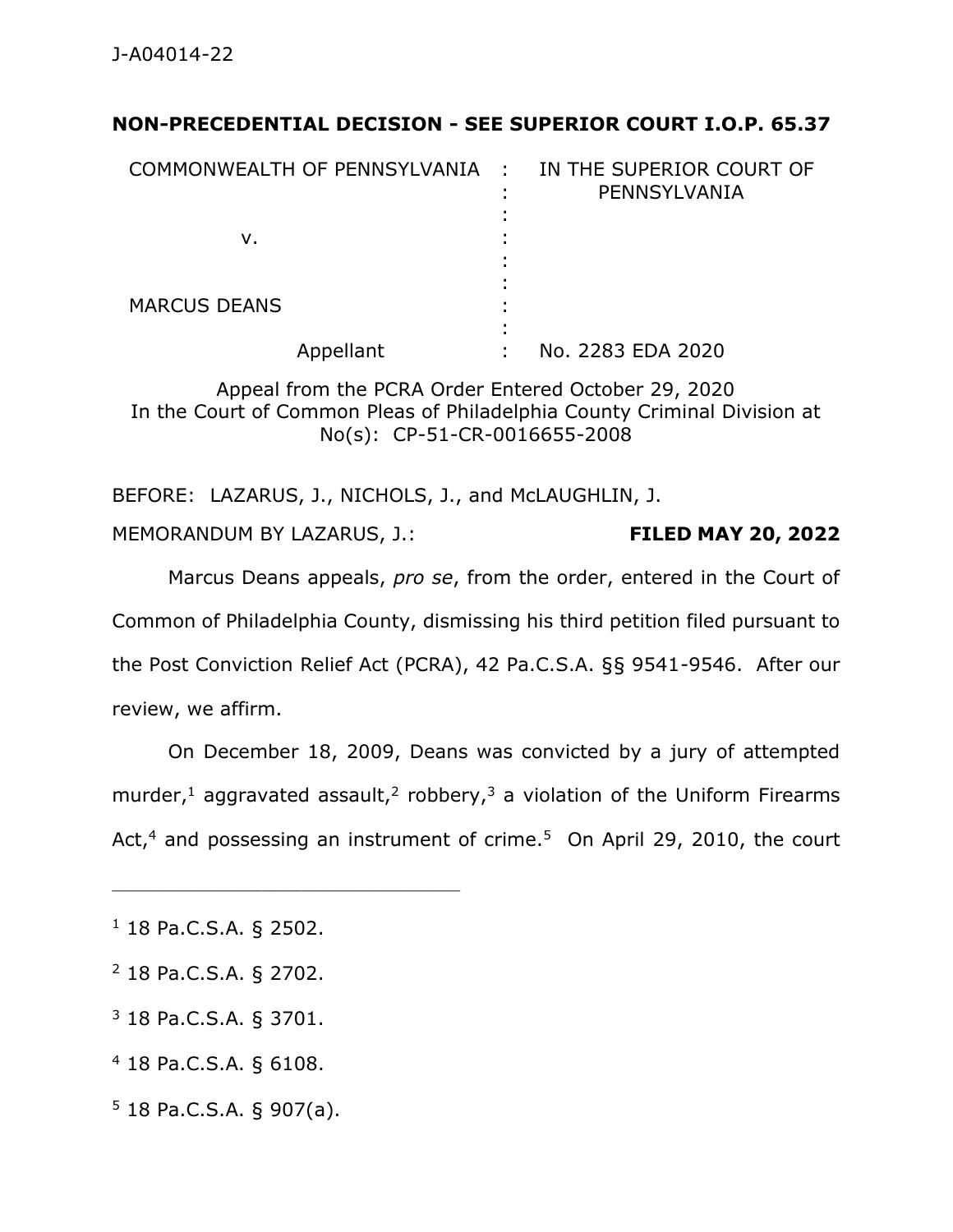## **NON-PRECEDENTIAL DECISION - SEE SUPERIOR COURT I.O.P. 65.37**

| COMMONWEALTH OF PENNSYLVANIA : | IN THE SUPERIOR COURT OF<br>PENNSYLVANIA |
|--------------------------------|------------------------------------------|
| ν.                             |                                          |
| <b>MARCUS DEANS</b>            |                                          |
| Appellant                      | No. 2283 EDA 2020                        |

Appeal from the PCRA Order Entered October 29, 2020 In the Court of Common Pleas of Philadelphia County Criminal Division at No(s): CP-51-CR-0016655-2008

BEFORE: LAZARUS, J., NICHOLS, J., and McLAUGHLIN, J. MEMORANDUM BY LAZARUS, J.: **FILED MAY 20, 2022**

Marcus Deans appeals, *pro se*, from the order, entered in the Court of Common of Philadelphia County, dismissing his third petition filed pursuant to the Post Conviction Relief Act (PCRA), 42 Pa.C.S.A. §§ 9541-9546. After our review, we affirm.

On December 18, 2009, Deans was convicted by a jury of attempted murder,<sup>1</sup> aggravated assault,<sup>2</sup> robbery,<sup>3</sup> a violation of the Uniform Firearms Act, $4$  and possessing an instrument of crime.<sup>5</sup> On April 29, 2010, the court

<sup>1</sup> 18 Pa.C.S.A. § 2502.

- <sup>2</sup> 18 Pa.C.S.A. § 2702.
- <sup>3</sup> 18 Pa.C.S.A. § 3701.
- <sup>4</sup> 18 Pa.C.S.A. § 6108.
- <sup>5</sup> 18 Pa.C.S.A. § 907(a).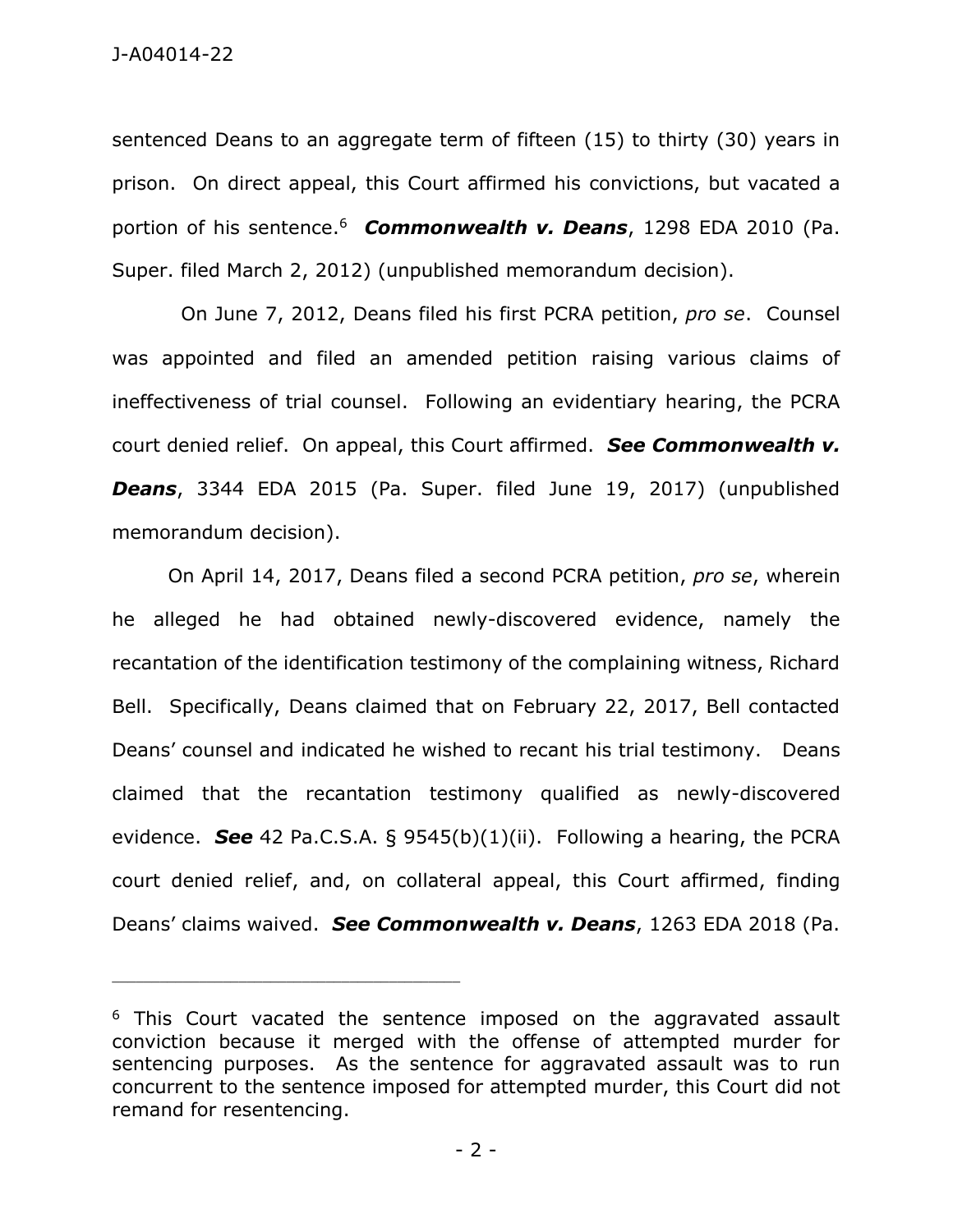sentenced Deans to an aggregate term of fifteen (15) to thirty (30) years in prison. On direct appeal, this Court affirmed his convictions, but vacated a portion of his sentence. 6 *Commonwealth v. Deans*, 1298 EDA 2010 (Pa. Super. filed March 2, 2012) (unpublished memorandum decision).

 On June 7, 2012, Deans filed his first PCRA petition, *pro se*. Counsel was appointed and filed an amended petition raising various claims of ineffectiveness of trial counsel. Following an evidentiary hearing, the PCRA court denied relief. On appeal, this Court affirmed. *See Commonwealth v. Deans*, 3344 EDA 2015 (Pa. Super. filed June 19, 2017) (unpublished memorandum decision).

On April 14, 2017, Deans filed a second PCRA petition, *pro se*, wherein he alleged he had obtained newly-discovered evidence, namely the recantation of the identification testimony of the complaining witness, Richard Bell. Specifically, Deans claimed that on February 22, 2017, Bell contacted Deans' counsel and indicated he wished to recant his trial testimony. Deans claimed that the recantation testimony qualified as newly-discovered evidence. *See* 42 Pa.C.S.A. § 9545(b)(1)(ii). Following a hearing, the PCRA court denied relief, and, on collateral appeal, this Court affirmed, finding Deans' claims waived. *See Commonwealth v. Deans*, 1263 EDA 2018 (Pa.

<sup>&</sup>lt;sup>6</sup> This Court vacated the sentence imposed on the aggravated assault conviction because it merged with the offense of attempted murder for sentencing purposes. As the sentence for aggravated assault was to run concurrent to the sentence imposed for attempted murder, this Court did not remand for resentencing.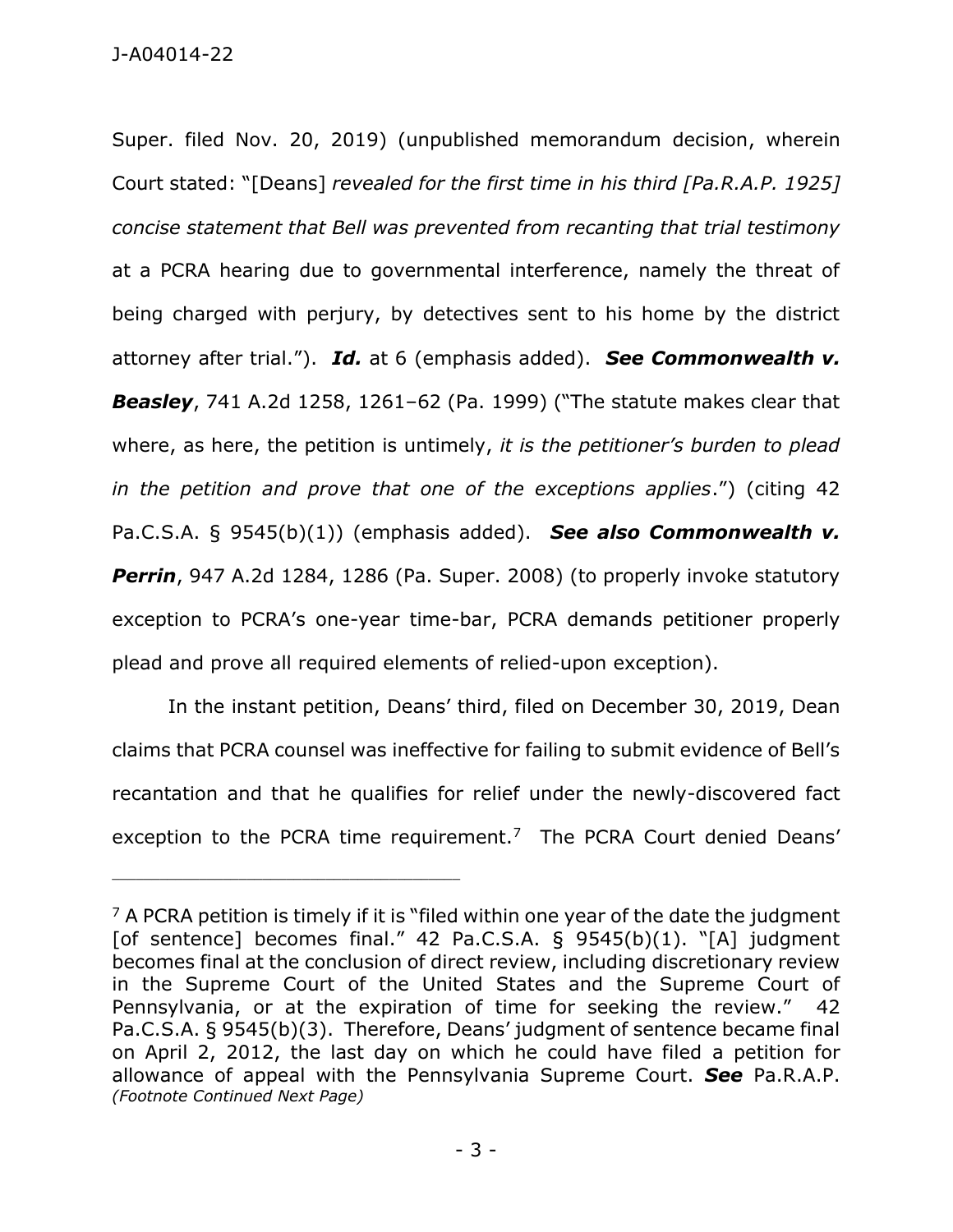Super. filed Nov. 20, 2019) (unpublished memorandum decision, wherein Court stated: "[Deans] *revealed for the first time in his third [Pa.R.A.P. 1925] concise statement that Bell was prevented from recanting that trial testimony* at a PCRA hearing due to governmental interference, namely the threat of being charged with perjury, by detectives sent to his home by the district attorney after trial."). *Id.* at 6 (emphasis added). *See Commonwealth v. Beasley*, 741 A.2d 1258, 1261–62 (Pa. 1999) ("The statute makes clear that where, as here, the petition is untimely, *it is the petitioner's burden to plead in the petition and prove that one of the exceptions applies*.") (citing 42 Pa.C.S.A. § 9545(b)(1)) (emphasis added). *See also Commonwealth v. Perrin*, 947 A.2d 1284, 1286 (Pa. Super. 2008) (to properly invoke statutory exception to PCRA's one-year time-bar, PCRA demands petitioner properly plead and prove all required elements of relied-upon exception).

In the instant petition, Deans' third, filed on December 30, 2019, Dean claims that PCRA counsel was ineffective for failing to submit evidence of Bell's recantation and that he qualifies for relief under the newly-discovered fact exception to the PCRA time requirement.<sup>7</sup> The PCRA Court denied Deans'

 $7$  A PCRA petition is timely if it is "filed within one year of the date the judgment [of sentence] becomes final." 42 Pa.C.S.A.  $\S$  9545(b)(1). "[A] judgment becomes final at the conclusion of direct review, including discretionary review in the Supreme Court of the United States and the Supreme Court of Pennsylvania, or at the expiration of time for seeking the review." 42 Pa.C.S.A. § 9545(b)(3). Therefore, Deans' judgment of sentence became final on April 2, 2012, the last day on which he could have filed a petition for allowance of appeal with the Pennsylvania Supreme Court. *See* Pa.R.A.P. *(Footnote Continued Next Page)*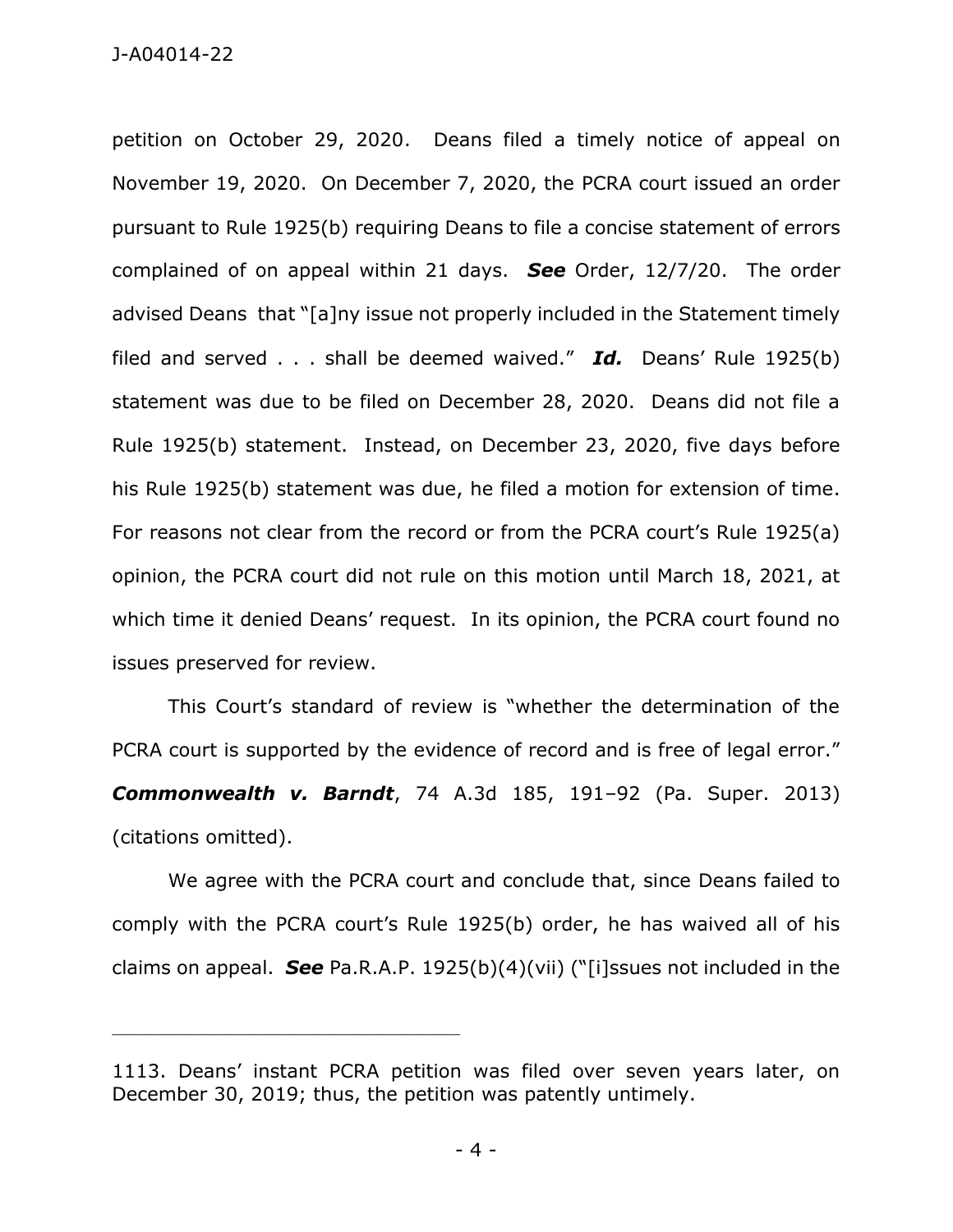petition on October 29, 2020. Deans filed a timely notice of appeal on November 19, 2020. On December 7, 2020, the PCRA court issued an order pursuant to Rule 1925(b) requiring Deans to file a concise statement of errors complained of on appeal within 21 days. *See* Order, 12/7/20. The order advised Deans that "[a]ny issue not properly included in the Statement timely filed and served . . . shall be deemed waived." *Id.* Deans' Rule 1925(b) statement was due to be filed on December 28, 2020. Deans did not file a Rule 1925(b) statement. Instead, on December 23, 2020, five days before his Rule 1925(b) statement was due, he filed a motion for extension of time. For reasons not clear from the record or from the PCRA court's Rule 1925(a) opinion, the PCRA court did not rule on this motion until March 18, 2021, at which time it denied Deans' request. In its opinion, the PCRA court found no issues preserved for review.

This Court's standard of review is "whether the determination of the PCRA court is supported by the evidence of record and is free of legal error." *Commonwealth v. Barndt*, 74 A.3d 185, 191–92 (Pa. Super. 2013) (citations omitted).

We agree with the PCRA court and conclude that, since Deans failed to comply with the PCRA court's Rule 1925(b) order, he has waived all of his claims on appeal. *See* Pa.R.A.P. 1925(b)(4)(vii) ("[i]ssues not included in the

<sup>1113.</sup> Deans' instant PCRA petition was filed over seven years later, on December 30, 2019; thus, the petition was patently untimely.